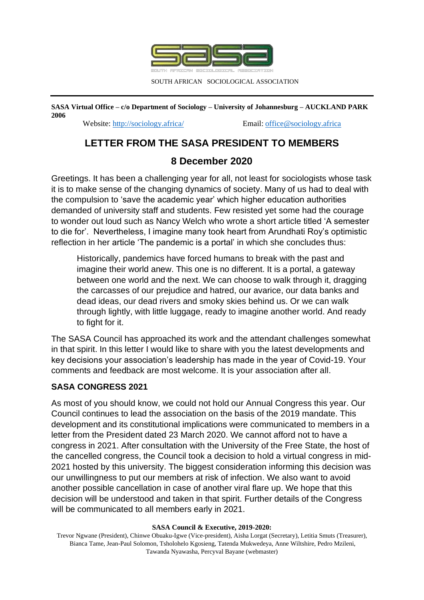

SOUTH AFRICAN SOCIOLOGICAL ASSOCIATION

**SASA Virtual Office – c/o Department of Sociology – University of Johannesburg – AUCKLAND PARK 2006**

Website:<http://sociology.africa/>Email[: office@sociology.africa](mailto:office@sociology.africa)

## **LETTER FROM THE SASA PRESIDENT TO MEMBERS**

# **8 December 2020**

Greetings. It has been a challenging year for all, not least for sociologists whose task it is to make sense of the changing dynamics of society. Many of us had to deal with the compulsion to 'save the academic year' which higher education authorities demanded of university staff and students. Few resisted yet some had the courage to wonder out loud such as Nancy Welch who wrote a short article titled 'A semester to die for'. Nevertheless, I imagine many took heart from Arundhati Roy's optimistic reflection in her article 'The pandemic is a portal' in which she concludes thus:

Historically, pandemics have forced humans to break with the past and imagine their world anew. This one is no different. It is a portal, a gateway between one world and the next. We can choose to walk through it, dragging the carcasses of our prejudice and hatred, our avarice, our data banks and dead ideas, our dead rivers and smoky skies behind us. Or we can walk through lightly, with little luggage, ready to imagine another world. And ready to fight for it.

The SASA Council has approached its work and the attendant challenges somewhat in that spirit. In this letter I would like to share with you the latest developments and key decisions your association's leadership has made in the year of Covid-19. Your comments and feedback are most welcome. It is your association after all.

### **SASA CONGRESS 2021**

As most of you should know, we could not hold our Annual Congress this year. Our Council continues to lead the association on the basis of the 2019 mandate. This development and its constitutional implications were communicated to members in a letter from the President dated 23 March 2020. We cannot afford not to have a congress in 2021. After consultation with the University of the Free State, the host of the cancelled congress, the Council took a decision to hold a virtual congress in mid-2021 hosted by this university. The biggest consideration informing this decision was our unwillingness to put our members at risk of infection. We also want to avoid another possible cancellation in case of another viral flare up. We hope that this decision will be understood and taken in that spirit. Further details of the Congress will be communicated to all members early in 2021.

#### **SASA Council & Executive, 2019-2020:**

Trevor Ngwane (President), Chinwe Obuaku-Igwe (Vice-president), Aisha Lorgat (Secretary), Letitia Smuts (Treasurer), Bianca Tame, Jean-Paul Solomon, Tsholohelo Kgosieng, Tatenda Mukwedeya, Anne Wiltshire, Pedro Mzileni, Tawanda Nyawasha, Percyval Bayane (webmaster)